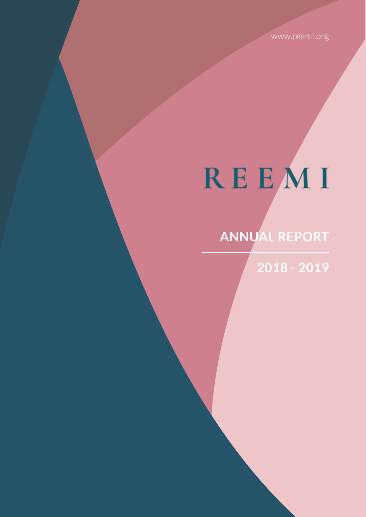www.reemi.org

# REEMI

## **ANNUAL REPORT**

**2018 - 2019**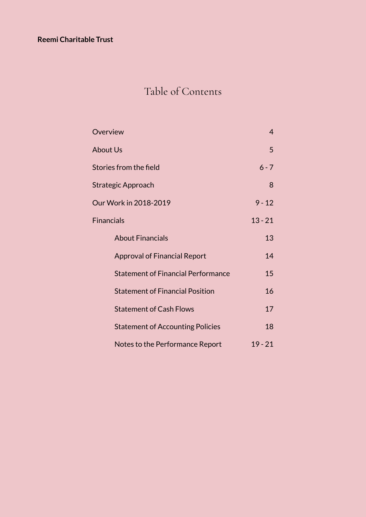#### **Reemi Charitable Trust**

### Table of Contents

| Overview                                  | 4         |
|-------------------------------------------|-----------|
| <b>About Us</b>                           | 5         |
| Stories from the field                    | $6 - 7$   |
| Strategic Approach                        | 8         |
| Our Work in 2018-2019                     | $9 - 12$  |
| <b>Financials</b>                         | $13 - 21$ |
| <b>About Financials</b>                   | 13        |
| <b>Approval of Financial Report</b>       | 14        |
| <b>Statement of Financial Performance</b> | 15        |
| <b>Statement of Financial Position</b>    | 16        |
| <b>Statement of Cash Flows</b>            | 17        |
| <b>Statement of Accounting Policies</b>   | 18        |
| Notes to the Performance Report           | $19 - 21$ |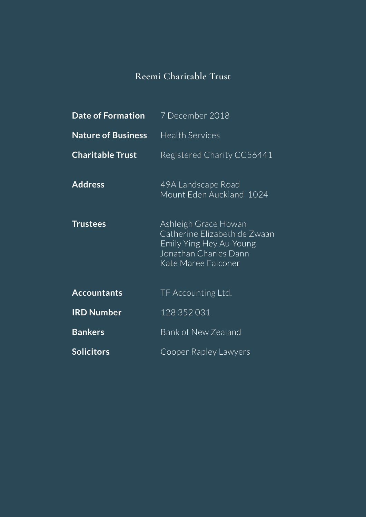### **Reemi Charitable Trust**

| <b>Date of Formation</b>  | 7 December 2018                                                                                                                 |
|---------------------------|---------------------------------------------------------------------------------------------------------------------------------|
| <b>Nature of Business</b> | <b>Health Services</b>                                                                                                          |
| <b>Charitable Trust</b>   | Registered Charity CC56441                                                                                                      |
| <b>Address</b>            | 49A Landscape Road<br>Mount Eden Auckland 1024                                                                                  |
| <b>Trustees</b>           | Ashleigh Grace Howan<br>Catherine Elizabeth de Zwaan<br>Emily Ying Hey Au-Young<br>Jonathan Charles Dann<br>Kate Maree Falconer |
| <b>Accountants</b>        | TF Accounting Ltd.                                                                                                              |
| <b>IRD Number</b>         | 128 352 031                                                                                                                     |
| <b>Bankers</b>            | <b>Bank of New Zealand</b>                                                                                                      |
| <b>Solicitors</b>         | Cooper Rapley Lawyers                                                                                                           |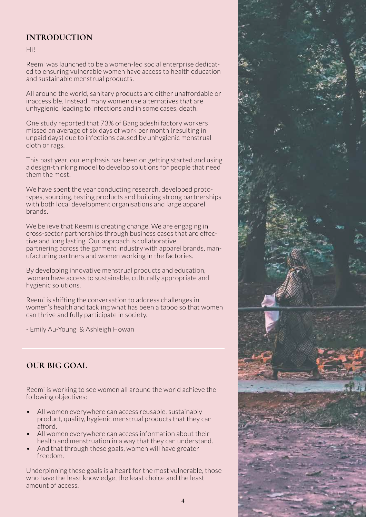#### **INTRODUCTION**

Hi!

Reemi was launched to be a women-led social enterprise dedicated to ensuring vulnerable women have access to health education and sustainable menstrual products.

All around the world, sanitary products are either unaffordable or inaccessible. Instead, many women use alternatives that are unhygienic, leading to infections and in some cases, death.

One study reported that 73% of Bangladeshi factory workers missed an average of six days of work per month (resulting in unpaid days) due to infections caused by unhygienic menstrual cloth or rags.

This past year, our emphasis has been on getting started and using a design-thinking model to develop solutions for people that need them the most.

We have spent the year conducting research, developed prototypes, sourcing, testing products and building strong partnerships with both local development organisations and large apparel brands.

We believe that Reemi is creating change. We are engaging in cross-sector partnerships through business cases that are effective and long lasting. Our approach is collaborative, partnering across the garment industry with apparel brands, manufacturing partners and women working in the factories.

By developing innovative menstrual products and education, women have access to sustainable, culturally appropriate and hygienic solutions.

Reemi is shifting the conversation to address challenges in women's health and tackling what has been a taboo so that women can thrive and fully participate in society.

- Emily Au-Young & Ashleigh Howan

#### **OUR BIG GOAL**

Reemi is working to see women all around the world achieve the following objectives:

- All women everywhere can access reusable, sustainably product, quality, hygienic menstrual products that they can afford.
- All women everywhere can access information about their health and menstruation in a way that they can understand.
- And that through these goals, women will have greater freedom.

Underpinning these goals is a heart for the most vulnerable, those who have the least knowledge, the least choice and the least amount of access.

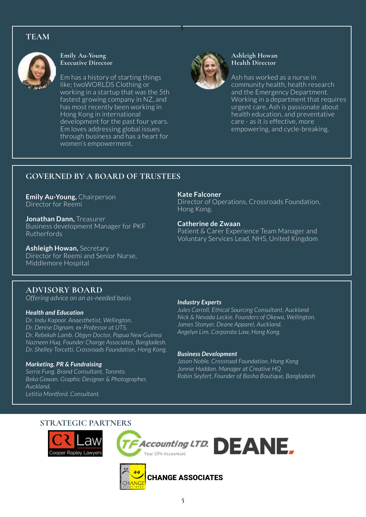#### **TEAM**



**Emily Au-Young Executive Director**

Em has a history of starting things like; twoWORLDS Clothing or working in a startup that was the 5th fastest growing company in NZ, and has most recently been working in Hong Kong in international development for the past four years. Em loves addressing global issues through business and has a heart for women's empowerment.



**5**

#### **Ashleigh Howan Health Director**

Ash has worked as a nurse in community health, health research and the Emergency Department. Working in a department that requires urgent care, Ash is passionate about health education, and preventative care - as it is effective, more empowering, and cycle-breaking.

#### **GOVERNED BY A BOARD OF TRUSTEES**

**Emily Au-Young, Chairperson** Director for Reemi

**Jonathan Dann,** Treasurer Business development Manager for PKF Rutherfords

**Ashleigh Howan,** Secretary Director for Reemi and Senior Nurse, Middlemore Hospital

**Kate Falconer**

Director of Operations, Crossroads Foundation, Hong Kong.

**Catherine de Zwaan** Patient & Carer Experience Team Manager and Voluntary Services Lead, NHS, United Kingdom

#### **ADVISORY BOARD**

*Offering advice on an as-needed basis*

#### *Health and Education*

*Dr. Indu Kapoor. Anaesthetist, Wellington. Dr. Denise Dignam. ex-Professor at UTS. Dr. Rebekah Lamb. Obgyn Doctor, Papua New Guinea Nazneen Huq. Founder Change Associates, Bangladesh. Dr. Shelley Torcetti. Crossroads Foundation, Hong Kong.*

#### *Marketing, PR & Fundraising*

*Serrie Fung. Brand Consultant, Toronto. Beka Gowan. Graphic Designer & Photographer, Auckland. Letitia Montford. Consultant.*

#### *Industry Experts*

*Jules Carroll, Ethical Sourcing Consultant, Auckland Nick & Nevada Leckie. Founders of Okewa, Wellington. James Stonyer. Deane Apparel, Auckland. Angelyn Lim. Corporate Law, Hong Kong.* 

#### *Business Development*

*Jason Noble. Crossroad Foundation, Hong Kong Jonnie Haddon. Manager at Creative HQ Robin Seyfert, Founder of Basha Boutique, Bangladesh*

#### **STRATEGIC PARTNERS**



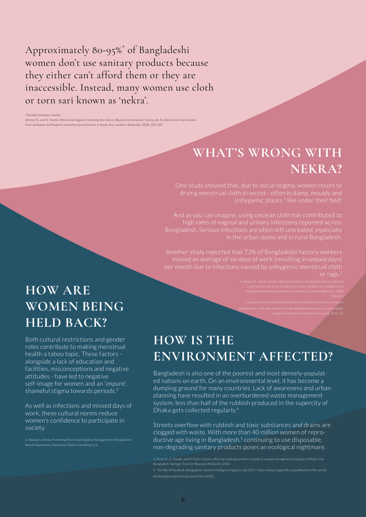Approximately 80-95%\* of Bangladeshi women don't use sanitary products because they either can't afford them or they are inaccessible. Instead, many women use cloth or torn sari known as 'nekra'.

\*Variable between studies

Ahmed, R., and K. Yasmin. Menstrual hygiene: breaking the silence. Beyond construction: Use by all. A collection of case studies from sanitation and hygiene promotion practitioners in South Asia. London: WaterAid, 2008, 283-287.

### **WHAT'S WRONG WITH NEKRA?**

unhygienic places,<sup>1</sup> like under their bed!

And as you can imagine, using unclean cloth has contributed to

per month due to infections caused by unhygienic menstrual cloth or rags.2

management is the path to better health, dignity and business. Geneva: Water

Supply & Sanitation Collaborative Council, 2013, 10.

### **HOW IS THE ENVIRONMENT AFFECTED?**

Bangladesh is also one of the poorest and most densely-populated nations on earth. On an environmental level, it has become a dumping ground for many countries. Lack of awareness and urban planning have resulted in an overburdened waste management system; less than half of the rubbish produced in the supercity of Dhaka gets collected regularly.4

Streets overflow with rubbish and toxic substances and drains are clogged with waste. With more than 40 million women of reproductive age living in Bangladesh, $5$  continuing to use disposable, non-degrading sanitary products poses an ecological nightmare.

4. Afroz, R., K. Hanaki, and R. Tudin. Factors affecting waste generation: a study in a waste management program in Dhaka City, Bangladesh. Springer Science+Business Media B.V, 2010.

factbook/geos/bg.html (accessed May 2018).

### **HOW ARE WOMEN BEING HELD BACK?**

Both cultural restrictions and gender roles contribute to making menstrual health a taboo topic. These factors alongside a lack of education and facilities, misconceptions and negative attitudes - have led to negative self-image for women and an 'impure', shameful stigma towards periods.3

As well as infections and missed days of work, these cultural norms reduce women's confidence to participate in society.

Needs Assessment, Newstone Global Consulting, 5-6.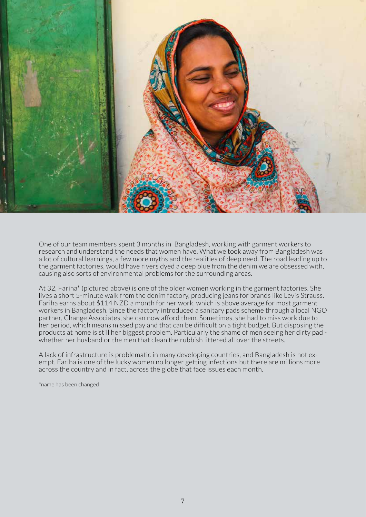

One of our team members spent 3 months in Bangladesh, working with garment workers to research and understand the needs that women have. What we took away from Bangladesh was a lot of cultural learnings, a few more myths and the realities of deep need. The road leading up to the garment factories, would have rivers dyed a deep blue from the denim we are obsessed with, causing also sorts of environmental problems for the surrounding areas.

At 32, Fariha\* (pictured above) is one of the older women working in the garment factories. She lives a short 5-minute walk from the denim factory, producing jeans for brands like Levis Strauss. Fariha earns about \$114 NZD a month for her work, which is above average for most garment workers in Bangladesh. Since the factory introduced a sanitary pads scheme through a local NGO partner, Change Associates, she can now afford them. Sometimes, she had to miss work due to her period, which means missed pay and that can be difficult on a tight budget. But disposing the products at home is still her biggest problem. Particularly the shame of men seeing her dirty pad whether her husband or the men that clean the rubbish littered all over the streets.

A lack of infrastructure is problematic in many developing countries, and Bangladesh is not exempt. Fariha is one of the lucky women no longer getting infections but there are millions more across the country and in fact, across the globe that face issues each month.

\*name has been changed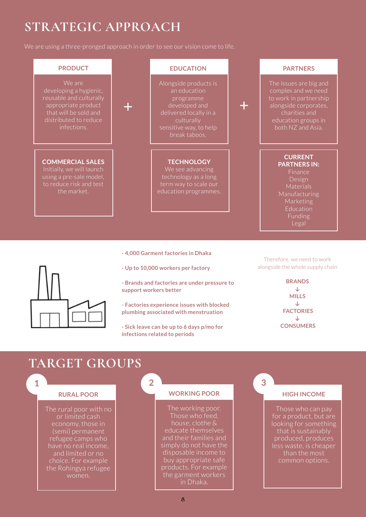### **STRATEGIC APPROACH**

We are using a three-pronged approach in order to see our vision come to life.





- **Up to 10,000 workers per factory**
- **Brands and factories are under pressure to support workers better**
- **Factories experience issues with blocked plumbing associated with menstruation**
- **Sick leave can be up to 6 days p/mo for infections related to periods**

alongside the whole supply chain

**BRANDS ↓ MILLS ↓ FACTORIES ↓ CONSUMERS** 

### **TARGET GROUPS**

#### **1 2 3**

#### **RURAL POOR**

The rural poor with no or limited cash (semi) permanent refugee camps who have no real income, and limited or no choice. For example the Rohingya refugee women.

#### **WORKING POOR**

The working poor. Those who feed, house, clothe & educate themselves and their families and simply do not have the disposable income to buy appropriate safe products. For example the garment workers in Dhaka.

#### **HIGH INCOME**

Those who can pay for a product, but are looking for something that is sustainably produced, produces less waste, is cheaper than the most common options.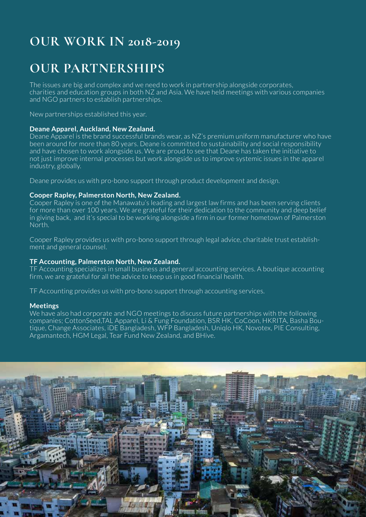### **OUR WORK IN 2018-2019**

### **OUR PARTNERSHIPS**

The issues are big and complex and we need to work in partnership alongside corporates, charities and education groups in both NZ and Asia. We have held meetings with various companies and NGO partners to establish partnerships.

New partnerships established this year.

#### **Deane Apparel, Auckland, New Zealand.**

Deane Apparel is the brand successful brands wear, as NZ's premium uniform manufacturer who have been around for more than 80 years. Deane is committed to sustainability and social responsibility and have chosen to work alongside us. We are proud to see that Deane has taken the initiative to not just improve internal processes but work alongside us to improve systemic issues in the apparel industry, globally.

Deane provides us with pro-bono support through product development and design.

#### **Cooper Rapley, Palmerston North, New Zealand.**

Cooper Rapley is one of the Manawatu's leading and largest law firms and has been serving clients for more than over 100 years. We are grateful for their dedication to the community and deep belief in giving back, and it's special to be working alongside a firm in our former hometown of Palmerston North.

Cooper Rapley provides us with pro-bono support through legal advice, charitable trust establishment and general counsel.

#### **TF Accounting, Palmerston North, New Zealand.**

TF Accounting specializes in small business and general accounting services. A boutique accounting firm, we are grateful for all the advice to keep us in good financial health.

TF Accounting provides us with pro-bono support through accounting services.

#### **Meetings**

We have also had corporate and NGO meetings to discuss future partnerships with the following companies; CottonSeed,TAL Apparel, Li & Fung Foundation, BSR HK, CoCoon, HKRITA, Basha Boutique, Change Associates, iDE Bangladesh, WFP Bangladesh, Uniqlo HK, Novotex, PIE Consulting, Argamantech, HGM Legal, Tear Fund New Zealand, and BHive.

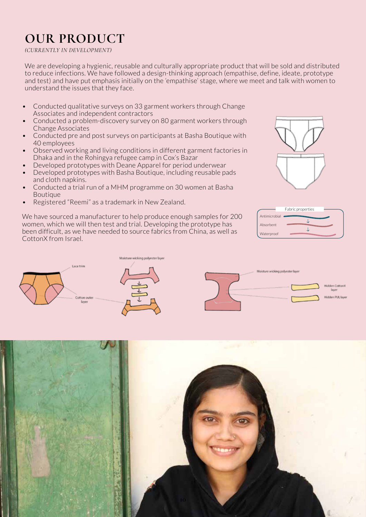### **OUR PRODUCT**

#### *(CURRENTLY IN DEVELOPMENT)*

We are developing a hygienic, reusable and culturally appropriate product that will be sold and distributed to reduce infections. We have followed a design-thinking approach (empathise, define, ideate, prototype and test) and have put emphasis initially on the 'empathise' stage, where we meet and talk with women to understand the issues that they face.

- Conducted qualitative surveys on 33 garment workers through Change Associates and independent contractors
- Conducted a problem-discovery survey on 80 garment workers through Change Associates
- Conducted pre and post surveys on participants at Basha Boutique with 40 employees
- Observed working and living conditions in different garment factories in Dhaka and in the Rohingya refugee camp in Cox's Bazar
- Developed prototypes with Deane Apparel for period underwear
- Developed prototypes with Basha Boutique, including reusable pads and cloth napkins.
- Conducted a trial run of a MHM programme on 30 women at Basha Boutique
- Registered "Reemi" as a trademark in New Zealand.

We have sourced a manufacturer to help produce enough samples for 200 women, which we will then test and trial. Developing the prototype has been difficult, as we have needed to source fabrics from China, as well as CottonX from Israel.







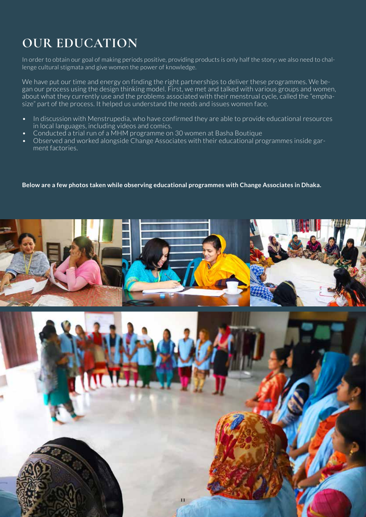### **OUR EDUCATION**

In order to obtain our goal of making periods positive, providing products is only half the story; we also need to challenge cultural stigmata and give women the power of knowledge.

We have put our time and energy on finding the right partnerships to deliver these programmes. We began our process using the design thinking model. First, we met and talked with various groups and women, about what they currently use and the problems associated with their menstrual cycle, called the "emphasize" part of the process. It helped us understand the needs and issues women face.

- In discussion with Menstrupedia, who have confirmed they are able to provide educational resources in local languages, including videos and comics.
- Conducted a trial run of a MHM programme on 30 women at Basha Boutique
- Observed and worked alongside Change Associates with their educational programmes inside garment factories.

#### **Below are a few photos taken while observing educational programmes with Change Associates in Dhaka.**

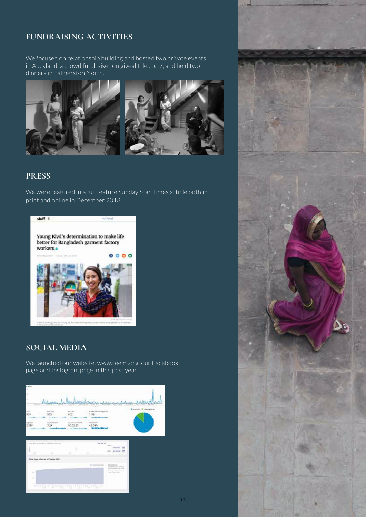#### **FUNDRAISING ACTIVITIES**

We focused on relationship building and hosted two private events in Auckland, a crowd fundraiser on givealittle.co.nz, and held two dinners in Palmerston North.



#### **PRESS**

We were featured in a full feature Sunday Star Times article both in print and online in December 2018.



#### **SOCIAL MEDIA**

We launched our website, www.reemi.org, our Facebook page and Instagram page in this past year.





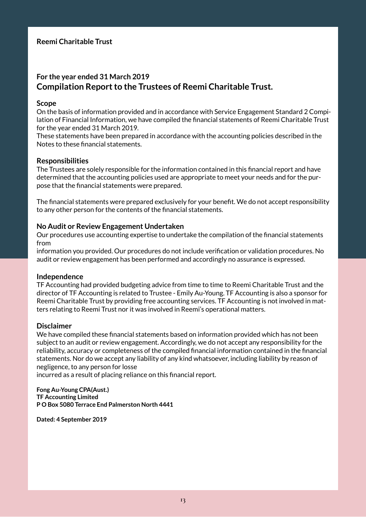#### **For the year ended 31 March 2019 Compilation Report to the Trustees of Reemi Charitable Trust.**

#### **Scope**

On the basis of information provided and in accordance with Service Engagement Standard 2 Compilation of Financial Information, we have compiled the financial statements of Reemi Charitable Trust for the year ended 31 March 2019.

These statements have been prepared in accordance with the accounting policies described in the Notes to these financial statements.

#### **Responsibilities**

The Trustees are solely responsible for the information contained in this financial report and have determined that the accounting policies used are appropriate to meet your needs and for the purpose that the financial statements were prepared.

The financial statements were prepared exclusively for your benefit. We do not accept responsibility to any other person for the contents of the financial statements.

#### **No Audit or Review Engagement Undertaken**

Our procedures use accounting expertise to undertake the compilation of the financial statements from

information you provided. Our procedures do not include verification or validation procedures. No audit or review engagement has been performed and accordingly no assurance is expressed.

#### **Independence**

TF Accounting had provided budgeting advice from time to time to Reemi Charitable Trust and the director of TF Accounting is related to Trustee - Emily Au-Young. TF Accounting is also a sponsor for Reemi Charitable Trust by providing free accounting services. TF Accounting is not involved in matters relating to Reemi Trust nor it was involved in Reemi's operational matters.

#### **Disclaimer**

We have compiled these financial statements based on information provided which has not been subject to an audit or review engagement. Accordingly, we do not accept any responsibility for the reliability, accuracy or completeness of the compiled financial information contained in the financial statements. Nor do we accept any liability of any kind whatsoever, including liability by reason of negligence, to any person for losse

incurred as a result of placing reliance on this financial report.

**Fong Au-Young CPA(Aust.) TF Accounting Limited P O Box 5080 Terrace End Palmerston North 4441**

**Dated: 4 September 2019**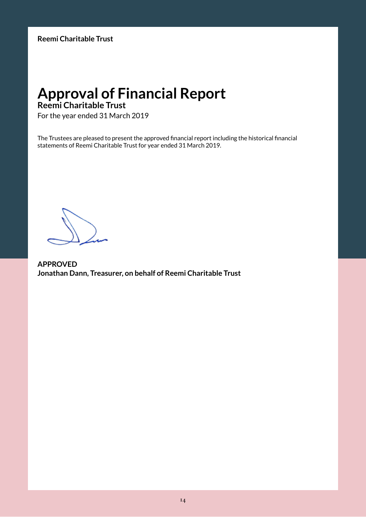### **Approval of Financial Report**

#### **Reemi Charitable Trust**

For the year ended 31 March 2019

The Trustees are pleased to present the approved financial report including the historical financial statements of Reemi Charitable Trust for year ended 31 March 2019.

**APPROVED Jonathan Dann, Treasurer, on behalf of Reemi Charitable Trust**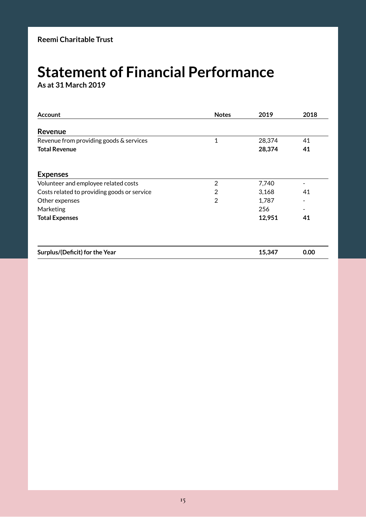### **Statement of Financial Performance**

**As at 31 March 2019**

| <b>Account</b>                              | <b>Notes</b>   | 2019   | 2018 |
|---------------------------------------------|----------------|--------|------|
| Revenue                                     |                |        |      |
| Revenue from providing goods & services     | $\mathbf{1}$   | 28,374 | 41   |
| <b>Total Revenue</b>                        |                | 28,374 | 41   |
| <b>Expenses</b>                             |                |        |      |
| Volunteer and employee related costs        | $\overline{2}$ | 7,740  |      |
| Costs related to providing goods or service | 2              | 3,168  | 41   |
| Other expenses                              | $\overline{2}$ | 1,787  |      |
| Marketing                                   |                | 256    |      |
| <b>Total Expenses</b>                       |                | 12,951 | 41   |
|                                             |                |        |      |
| Surplus/(Deficit) for the Year              |                | 15,347 | 0.00 |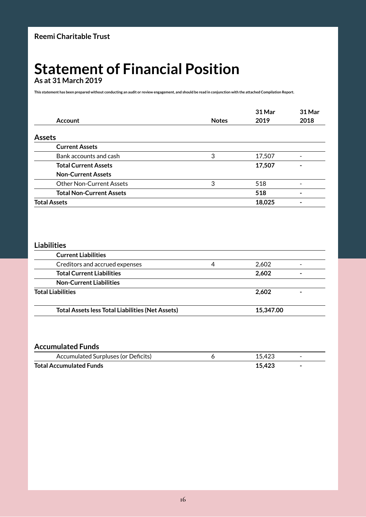### **Statement of Financial Position**

**As at 31 March 2019**

**This statement has been prepared without conducting an audit or review engagement, and should be read in conjunction with the attached Compilation Report.**

|                                 |              | 31 Mar | 31 Mar |
|---------------------------------|--------------|--------|--------|
| <b>Account</b>                  | <b>Notes</b> | 2019   | 2018   |
| <b>Assets</b>                   |              |        |        |
| <b>Current Assets</b>           |              |        |        |
| Bank accounts and cash          | 3            | 17,507 | -      |
| <b>Total Current Assets</b>     |              | 17,507 | -      |
| <b>Non-Current Assets</b>       |              |        |        |
| <b>Other Non-Current Assets</b> | 3            | 518    | -      |
| <b>Total Non-Current Assets</b> |              | 518    | ۰      |
| <b>Total Assets</b>             |              | 18,025 |        |

#### **Liabilities**

| <b>Current Liabilities</b>                              |   |           |   |
|---------------------------------------------------------|---|-----------|---|
| Creditors and accrued expenses                          | 4 | 2,602     |   |
| <b>Total Current Liabilities</b>                        |   | 2,602     | - |
| <b>Non-Current Liabilities</b>                          |   |           |   |
| <b>Total Liabilities</b>                                |   | 2.602     |   |
| <b>Total Assets less Total Liabilities (Net Assets)</b> |   | 15,347.00 |   |

#### **Accumulated Funds**

| Accumulated Surpluses (or Deficits) | 15A2c | $\overline{\phantom{0}}$ |
|-------------------------------------|-------|--------------------------|
| <b>Total Accumulated Funds</b>      |       | $\overline{\phantom{a}}$ |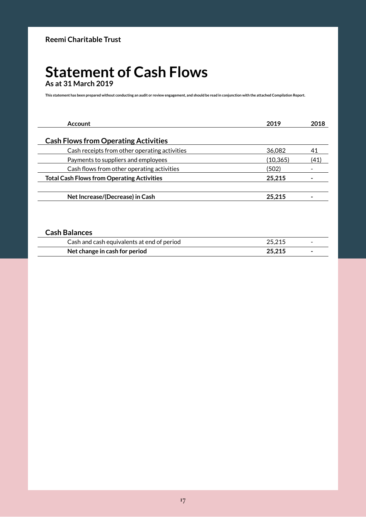#### **Statement of Cash Flows As at 31 March 2019**

**This statement has been prepared without conducting an audit or review engagement, and should be read in conjunction with the attached Compilation Report.**

| 2019      | 2018 |
|-----------|------|
|           |      |
| 36,082    | 41   |
| (10, 365) | (41) |
| (502)     |      |
| 25.215    |      |
| 25.215    |      |
|           |      |

#### **Cash Balances**

| Cash and cash equivalents at end of period | 25 215 | $\sim$ |
|--------------------------------------------|--------|--------|
| Net change in cash for period              | 25 215 |        |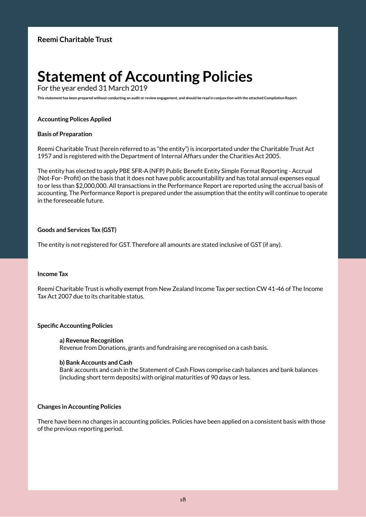### **Statement of Accounting Policies**

For the year ended 31 March 2019

**This statement has been prepared without conducting an audit or review engagement, and should be read in conjunction with the attached Compilation Report.**

#### **Accounting Polices Applied**

#### **Basis of Preparation**

Reemi Charitable Trust (herein referred to as "the entity") is incorportated under the Charitable Trust Act 1957 and is registered with the Department of Internal Affiars under the Charities Act 2005.

The entity has elected to apply PBE SFR-A (NFP) Public Benefit Entity Simple Format Reporting - Accrual (Not-For- Profit) on the basis that it does not have public accountability and has total annual expenses equal to or less than \$2,000,000. All transactions in the Performance Report are reported using the accrual basis of accounting. The Performance Report is prepared under the assumption that the entity will continue to operate in the foreseeable future.

#### **Goods and Services Tax (GST)**

The entity is not registered for GST. Therefore all amounts are stated inclusive of GST (if any).

#### **Income Tax**

Reemi Charitable Trust is wholly exempt from New Zealand Income Tax per section CW 41-46 of The Income Tax Act 2007 due to its charitable status.

#### **Specific Accounting Policies**

#### **a) Revenue Recognition**

Revenue from Donations, grants and fundraising are recognised on a cash basis.

#### **b) Bank Accounts and Cash**

Bank accounts and cash in the Statement of Cash Flows comprise cash balances and bank balances (including short term deposits) with original maturities of 90 days or less.

#### **Changes in Accounting Policies**

There have been no changes in accounting policies. Policies have been applied on a consistent basis with those of the previous reporting period.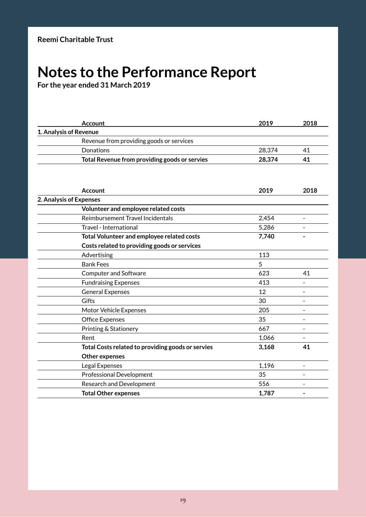### **Notes to the Performance Report**

**For the year ended 31 March 2019**

|                         | <b>Account</b>                                    | 2019   | 2018                     |
|-------------------------|---------------------------------------------------|--------|--------------------------|
| 1. Analysis of Revenue  |                                                   |        |                          |
|                         | Revenue from providing goods or services          |        |                          |
|                         | Donations                                         | 28,374 | 41                       |
|                         | Total Revenue from providing goods or servies     | 28,374 | 41                       |
|                         |                                                   |        |                          |
|                         | <b>Account</b>                                    | 2019   | 2018                     |
| 2. Analysis of Expenses |                                                   |        |                          |
|                         | Volunteer and employee related costs              |        |                          |
|                         | Reimbursement Travel Incidentals                  | 2,454  |                          |
|                         | Travel - International                            | 5,286  |                          |
|                         | Total Volunteer and employee related costs        | 7,740  |                          |
|                         | Costs related to providing goods or services      |        |                          |
|                         | Advertising                                       | 113    |                          |
|                         | <b>Bank Fees</b>                                  | 5      |                          |
|                         | <b>Computer and Software</b>                      | 623    | 41                       |
|                         | <b>Fundraising Expenses</b>                       | 413    | $\blacksquare$           |
|                         | <b>General Expenses</b>                           | 12     | $\overline{\phantom{0}}$ |
|                         | Gifts                                             | 30     |                          |
|                         | Motor Vehicle Expenses                            | 205    |                          |
|                         | <b>Office Expenses</b>                            | 35     | $\blacksquare$           |
|                         | Printing & Stationery                             | 667    | $\overline{a}$           |
|                         | Rent                                              | 1,066  |                          |
|                         | Total Costs related to providing goods or servies | 3,168  | 41                       |
|                         | <b>Other expenses</b>                             |        |                          |
|                         | Legal Expenses                                    | 1,196  |                          |
|                         | <b>Professional Development</b>                   | 35     | $\overline{\phantom{0}}$ |
|                         | Research and Development                          | 556    |                          |
|                         | <b>Total Other expenses</b>                       | 1,787  |                          |
|                         |                                                   |        |                          |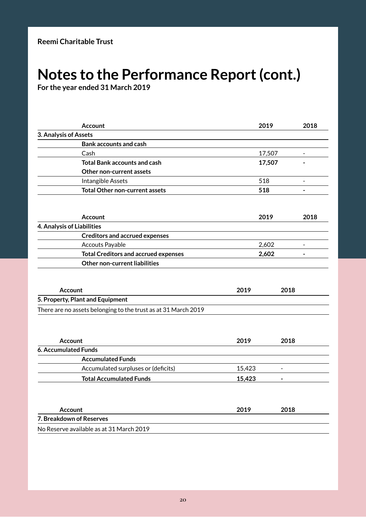### **Notes to the Performance Report (cont.)**

**For the year ended 31 March 2019**

| <b>Account</b>                                                 | 2019   |                | 2018                     |
|----------------------------------------------------------------|--------|----------------|--------------------------|
| 3. Analysis of Assets                                          |        |                |                          |
| <b>Bank accounts and cash</b>                                  |        |                |                          |
| Cash                                                           |        | 17,507         | ٠                        |
| <b>Total Bank accounts and cash</b>                            |        | 17,507         |                          |
| <b>Other non-current assets</b>                                |        |                |                          |
| Intangible Assets                                              | 518    |                |                          |
| <b>Total Other non-current assets</b>                          | 518    |                |                          |
|                                                                |        |                |                          |
| <b>Account</b>                                                 | 2019   |                | 2018                     |
| 4. Analysis of Liabilities                                     |        |                |                          |
| <b>Creditors and accrued expenses</b>                          |        |                |                          |
| <b>Accouts Payable</b>                                         | 2,602  |                | $\blacksquare$           |
| <b>Total Creditors and accrued expenses</b>                    | 2,602  |                | $\overline{\phantom{0}}$ |
| <b>Other non-current liabilities</b>                           |        |                |                          |
|                                                                |        |                |                          |
| <b>Account</b>                                                 | 2019   | 2018           |                          |
| 5. Property, Plant and Equipment                               |        |                |                          |
| There are no assets belonging to the trust as at 31 March 2019 |        |                |                          |
| <b>Account</b>                                                 | 2019   | 2018           |                          |
| <b>6. Accumulated Funds</b>                                    |        |                |                          |
| <b>Accumulated Funds</b>                                       |        |                |                          |
| Accumulated surpluses or (deficits)                            | 15,423 | $\blacksquare$ |                          |
| <b>Total Accumulated Funds</b>                                 | 15,423 |                |                          |
|                                                                |        |                |                          |
| <b>Account</b>                                                 | 2019   | 2018           |                          |
| 7. Breakdown of Reserves                                       |        |                |                          |
| No Reserve available as at 31 March 2019                       |        |                |                          |